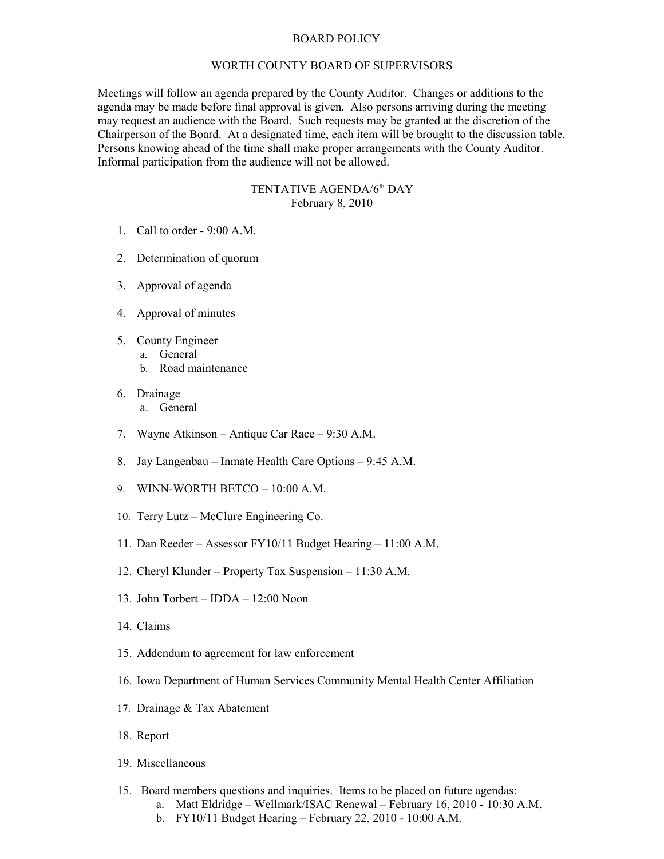## BOARD POLICY

## WORTH COUNTY BOARD OF SUPERVISORS

Meetings will follow an agenda prepared by the County Auditor. Changes or additions to the agenda may be made before final approval is given. Also persons arriving during the meeting may request an audience with the Board. Such requests may be granted at the discretion of the Chairperson of the Board. At a designated time, each item will be brought to the discussion table. Persons knowing ahead of the time shall make proper arrangements with the County Auditor. Informal participation from the audience will not be allowed.

## TENTATIVE AGENDA/6<sup>th</sup> DAY February 8, 2010

- 1. Call to order 9:00 A.M.
- 2. Determination of quorum
- 3. Approval of agenda
- 4. Approval of minutes
- 5. County Engineer
	- a. General
		- b. Road maintenance
- 6. Drainage a. General
- 7. Wayne Atkinson Antique Car Race 9:30 A.M.
- 8. Jay Langenbau Inmate Health Care Options 9:45 A.M.
- 9. WINN-WORTH BETCO 10:00 A.M.
- 10. Terry Lutz McClure Engineering Co.
- 11. Dan Reeder Assessor FY10/11 Budget Hearing 11:00 A.M.
- 12. Cheryl Klunder Property Tax Suspension 11:30 A.M.
- 13. John Torbert IDDA 12:00 Noon
- 14. Claims
- 15. Addendum to agreement for law enforcement
- 16. Iowa Department of Human Services Community Mental Health Center Affiliation
- 17. Drainage & Tax Abatement
- 18. Report
- 19. Miscellaneous
- 15. Board members questions and inquiries. Items to be placed on future agendas:
	- a. Matt Eldridge Wellmark/ISAC Renewal February 16, 2010 10:30 A.M.
	- b. FY10/11 Budget Hearing February 22, 2010 10:00 A.M.